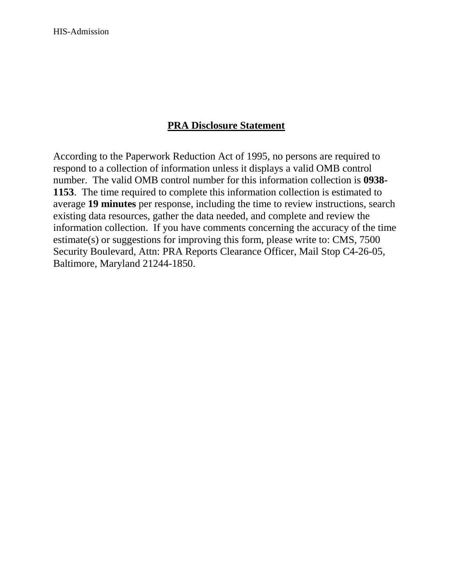## **PRA Disclosure Statement**

According to the Paperwork Reduction Act of 1995, no persons are required to respond to a collection of information unless it displays a valid OMB control number. The valid OMB control number for this information collection is **0938- 1153**. The time required to complete this information collection is estimated to average **19 minutes** per response, including the time to review instructions, search existing data resources, gather the data needed, and complete and review the information collection. If you have comments concerning the accuracy of the time estimate(s) or suggestions for improving this form, please write to: CMS, 7500 Security Boulevard, Attn: PRA Reports Clearance Officer, Mail Stop C4-26-05, Baltimore, Maryland 21244-1850.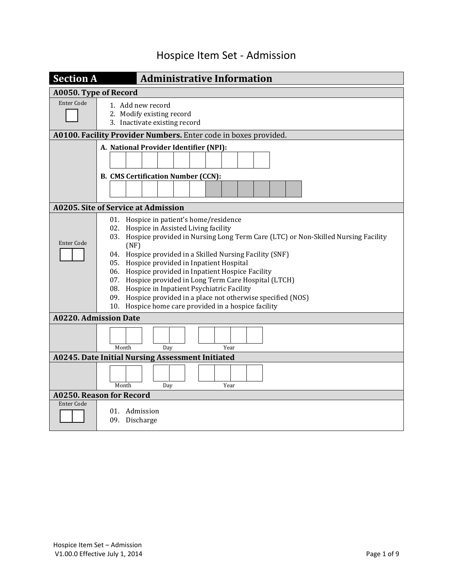## Hospice Item Set - Admission

| <b>Section A</b>             | <b>Administrative Information</b>                                                                                                                                                                                                                                                                                                                                                                                                                                                                                                                                                      |
|------------------------------|----------------------------------------------------------------------------------------------------------------------------------------------------------------------------------------------------------------------------------------------------------------------------------------------------------------------------------------------------------------------------------------------------------------------------------------------------------------------------------------------------------------------------------------------------------------------------------------|
| A0050. Type of Record        |                                                                                                                                                                                                                                                                                                                                                                                                                                                                                                                                                                                        |
| <b>Enter Code</b>            | 1. Add new record<br>2. Modify existing record<br>3. Inactivate existing record                                                                                                                                                                                                                                                                                                                                                                                                                                                                                                        |
|                              | A0100. Facility Provider Numbers. Enter code in boxes provided.                                                                                                                                                                                                                                                                                                                                                                                                                                                                                                                        |
|                              | A. National Provider Identifier (NPI):<br><b>B. CMS Certification Number (CCN):</b>                                                                                                                                                                                                                                                                                                                                                                                                                                                                                                    |
|                              |                                                                                                                                                                                                                                                                                                                                                                                                                                                                                                                                                                                        |
|                              | A0205. Site of Service at Admission                                                                                                                                                                                                                                                                                                                                                                                                                                                                                                                                                    |
| <b>Enter Code</b>            | 01. Hospice in patient's home/residence<br>02. Hospice in Assisted Living facility<br>03. Hospice provided in Nursing Long Term Care (LTC) or Non-Skilled Nursing Facility<br>(NF)<br>04. Hospice provided in a Skilled Nursing Facility (SNF)<br>05. Hospice provided in Inpatient Hospital<br>06. Hospice provided in Inpatient Hospice Facility<br>07. Hospice provided in Long Term Care Hospital (LTCH)<br>08. Hospice in Inpatient Psychiatric Facility<br>09. Hospice provided in a place not otherwise specified (NOS)<br>10. Hospice home care provided in a hospice facility |
| <b>A0220. Admission Date</b> |                                                                                                                                                                                                                                                                                                                                                                                                                                                                                                                                                                                        |
|                              | Month<br>Dav<br>Year                                                                                                                                                                                                                                                                                                                                                                                                                                                                                                                                                                   |
|                              | <b>A0245. Date Initial Nursing Assessment Initiated</b>                                                                                                                                                                                                                                                                                                                                                                                                                                                                                                                                |
|                              | Month<br>Day<br>Year                                                                                                                                                                                                                                                                                                                                                                                                                                                                                                                                                                   |
|                              | <b>A0250. Reason for Record</b>                                                                                                                                                                                                                                                                                                                                                                                                                                                                                                                                                        |
| <b>Enter Code</b>            | 01. Admission<br>09. Discharge                                                                                                                                                                                                                                                                                                                                                                                                                                                                                                                                                         |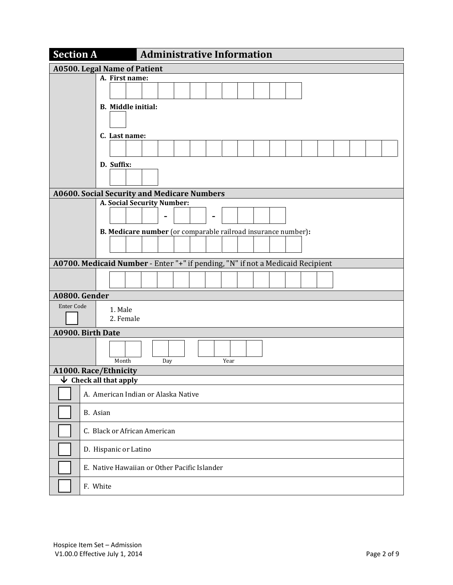|                                     | <b>Section A</b><br><b>Administrative Information</b>                          |                                                               |  |  |     |  |  |  |      |  |  |  |  |  |  |  |
|-------------------------------------|--------------------------------------------------------------------------------|---------------------------------------------------------------|--|--|-----|--|--|--|------|--|--|--|--|--|--|--|
| <b>A0500. Legal Name of Patient</b> |                                                                                |                                                               |  |  |     |  |  |  |      |  |  |  |  |  |  |  |
|                                     |                                                                                | A. First name:                                                |  |  |     |  |  |  |      |  |  |  |  |  |  |  |
|                                     |                                                                                |                                                               |  |  |     |  |  |  |      |  |  |  |  |  |  |  |
|                                     | <b>B.</b> Middle initial:                                                      |                                                               |  |  |     |  |  |  |      |  |  |  |  |  |  |  |
|                                     |                                                                                |                                                               |  |  |     |  |  |  |      |  |  |  |  |  |  |  |
|                                     | C. Last name:                                                                  |                                                               |  |  |     |  |  |  |      |  |  |  |  |  |  |  |
|                                     |                                                                                |                                                               |  |  |     |  |  |  |      |  |  |  |  |  |  |  |
|                                     | D. Suffix:                                                                     |                                                               |  |  |     |  |  |  |      |  |  |  |  |  |  |  |
|                                     |                                                                                |                                                               |  |  |     |  |  |  |      |  |  |  |  |  |  |  |
|                                     | <b>A0600. Social Security and Medicare Numbers</b>                             |                                                               |  |  |     |  |  |  |      |  |  |  |  |  |  |  |
|                                     |                                                                                | A. Social Security Number:                                    |  |  |     |  |  |  |      |  |  |  |  |  |  |  |
|                                     |                                                                                |                                                               |  |  |     |  |  |  |      |  |  |  |  |  |  |  |
|                                     |                                                                                | B. Medicare number (or comparable railroad insurance number): |  |  |     |  |  |  |      |  |  |  |  |  |  |  |
|                                     |                                                                                |                                                               |  |  |     |  |  |  |      |  |  |  |  |  |  |  |
|                                     | A0700. Medicaid Number - Enter "+" if pending, "N" if not a Medicaid Recipient |                                                               |  |  |     |  |  |  |      |  |  |  |  |  |  |  |
|                                     |                                                                                |                                                               |  |  |     |  |  |  |      |  |  |  |  |  |  |  |
|                                     |                                                                                |                                                               |  |  |     |  |  |  |      |  |  |  |  |  |  |  |
|                                     | A0800. Gender                                                                  |                                                               |  |  |     |  |  |  |      |  |  |  |  |  |  |  |
| <b>Enter Code</b>                   |                                                                                | 1. Male                                                       |  |  |     |  |  |  |      |  |  |  |  |  |  |  |
|                                     |                                                                                | 2. Female                                                     |  |  |     |  |  |  |      |  |  |  |  |  |  |  |
|                                     | A0900. Birth Date                                                              |                                                               |  |  |     |  |  |  |      |  |  |  |  |  |  |  |
|                                     |                                                                                |                                                               |  |  |     |  |  |  |      |  |  |  |  |  |  |  |
|                                     |                                                                                | Month                                                         |  |  | Day |  |  |  | Year |  |  |  |  |  |  |  |
|                                     | A1000. Race/Ethnicity                                                          |                                                               |  |  |     |  |  |  |      |  |  |  |  |  |  |  |
| ₩                                   | Check all that apply                                                           |                                                               |  |  |     |  |  |  |      |  |  |  |  |  |  |  |
|                                     | A. American Indian or Alaska Native                                            |                                                               |  |  |     |  |  |  |      |  |  |  |  |  |  |  |
|                                     | B. Asian                                                                       |                                                               |  |  |     |  |  |  |      |  |  |  |  |  |  |  |
|                                     | C. Black or African American                                                   |                                                               |  |  |     |  |  |  |      |  |  |  |  |  |  |  |
|                                     | D. Hispanic or Latino                                                          |                                                               |  |  |     |  |  |  |      |  |  |  |  |  |  |  |
|                                     | E. Native Hawaiian or Other Pacific Islander                                   |                                                               |  |  |     |  |  |  |      |  |  |  |  |  |  |  |
|                                     | F. White                                                                       |                                                               |  |  |     |  |  |  |      |  |  |  |  |  |  |  |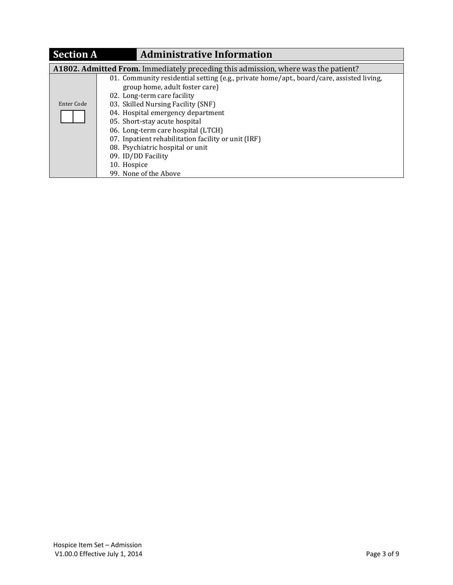| <b>Section A</b><br><b>Administrative Information</b>                              |                                                                                                                                                                                                                                                                                                                                                                                                                                             |  |  |  |  |  |  |  |  |
|------------------------------------------------------------------------------------|---------------------------------------------------------------------------------------------------------------------------------------------------------------------------------------------------------------------------------------------------------------------------------------------------------------------------------------------------------------------------------------------------------------------------------------------|--|--|--|--|--|--|--|--|
| A1802. Admitted From. Immediately preceding this admission, where was the patient? |                                                                                                                                                                                                                                                                                                                                                                                                                                             |  |  |  |  |  |  |  |  |
| Enter Code                                                                         | 01. Community residential setting (e.g., private home/apt., board/care, assisted living,<br>group home, adult foster care)<br>02. Long-term care facility<br>03. Skilled Nursing Facility (SNF)<br>04. Hospital emergency department<br>05. Short-stay acute hospital<br>06. Long-term care hospital (LTCH)<br>07. Inpatient rehabilitation facility or unit (IRF)<br>08. Psychiatric hospital or unit<br>09. ID/DD Facility<br>10. Hospice |  |  |  |  |  |  |  |  |
|                                                                                    | 99. None of the Above                                                                                                                                                                                                                                                                                                                                                                                                                       |  |  |  |  |  |  |  |  |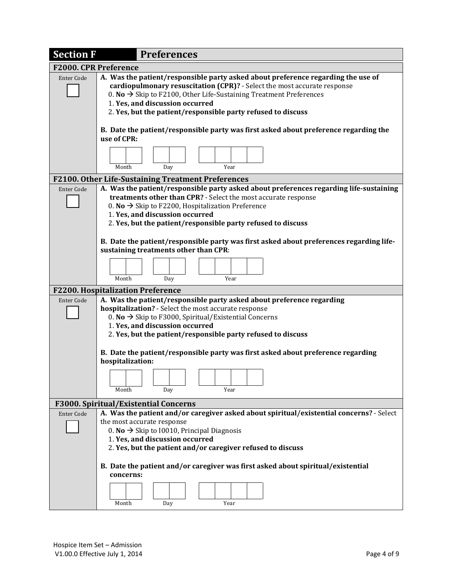| <b>Section F</b>             | <b>Preferences</b>                                                                                                                                                                                                                                                                                                                                |  |  |  |  |  |  |  |  |  |  |  |
|------------------------------|---------------------------------------------------------------------------------------------------------------------------------------------------------------------------------------------------------------------------------------------------------------------------------------------------------------------------------------------------|--|--|--|--|--|--|--|--|--|--|--|
| <b>F2000. CPR Preference</b> |                                                                                                                                                                                                                                                                                                                                                   |  |  |  |  |  |  |  |  |  |  |  |
| <b>Enter Code</b>            | A. Was the patient/responsible party asked about preference regarding the use of<br>cardiopulmonary resuscitation (CPR)? - Select the most accurate response<br>0. No $\rightarrow$ Skip to F2100, Other Life-Sustaining Treatment Preferences<br>1. Yes, and discussion occurred<br>2. Yes, but the patient/responsible party refused to discuss |  |  |  |  |  |  |  |  |  |  |  |
|                              | B. Date the patient/responsible party was first asked about preference regarding the<br>use of CPR:                                                                                                                                                                                                                                               |  |  |  |  |  |  |  |  |  |  |  |
|                              | Year<br>Month<br>Day                                                                                                                                                                                                                                                                                                                              |  |  |  |  |  |  |  |  |  |  |  |
|                              | F2100. Other Life-Sustaining Treatment Preferences                                                                                                                                                                                                                                                                                                |  |  |  |  |  |  |  |  |  |  |  |
| <b>Enter Code</b>            | A. Was the patient/responsible party asked about preferences regarding life-sustaining<br>treatments other than CPR? - Select the most accurate response<br>0. No $\rightarrow$ Skip to F2200, Hospitalization Preference<br>1. Yes, and discussion occurred<br>2. Yes, but the patient/responsible party refused to discuss                      |  |  |  |  |  |  |  |  |  |  |  |
|                              | B. Date the patient/responsible party was first asked about preferences regarding life-<br>sustaining treatments other than CPR:                                                                                                                                                                                                                  |  |  |  |  |  |  |  |  |  |  |  |
|                              | Month<br>Day<br>Year                                                                                                                                                                                                                                                                                                                              |  |  |  |  |  |  |  |  |  |  |  |
|                              | <b>F2200. Hospitalization Preference</b>                                                                                                                                                                                                                                                                                                          |  |  |  |  |  |  |  |  |  |  |  |
| <b>Enter Code</b>            | A. Was the patient/responsible party asked about preference regarding<br>hospitalization? - Select the most accurate response<br>0. No $\rightarrow$ Skip to F3000, Spiritual/Existential Concerns<br>1. Yes, and discussion occurred<br>2. Yes, but the patient/responsible party refused to discuss                                             |  |  |  |  |  |  |  |  |  |  |  |
|                              | B. Date the patient/responsible party was first asked about preference regarding<br>hospitalization:                                                                                                                                                                                                                                              |  |  |  |  |  |  |  |  |  |  |  |
|                              | Year<br>Month<br>Day                                                                                                                                                                                                                                                                                                                              |  |  |  |  |  |  |  |  |  |  |  |
|                              | F3000. Spiritual/Existential Concerns                                                                                                                                                                                                                                                                                                             |  |  |  |  |  |  |  |  |  |  |  |
| <b>Enter Code</b>            | A. Was the patient and/or caregiver asked about spiritual/existential concerns? - Select                                                                                                                                                                                                                                                          |  |  |  |  |  |  |  |  |  |  |  |
|                              | the most accurate response                                                                                                                                                                                                                                                                                                                        |  |  |  |  |  |  |  |  |  |  |  |
|                              | 0. No $\rightarrow$ Skip to 10010, Principal Diagnosis<br>1. Yes, and discussion occurred<br>2. Yes, but the patient and/or caregiver refused to discuss                                                                                                                                                                                          |  |  |  |  |  |  |  |  |  |  |  |
|                              | B. Date the patient and/or caregiver was first asked about spiritual/existential<br>concerns:                                                                                                                                                                                                                                                     |  |  |  |  |  |  |  |  |  |  |  |
|                              | Year<br>Month<br>Day                                                                                                                                                                                                                                                                                                                              |  |  |  |  |  |  |  |  |  |  |  |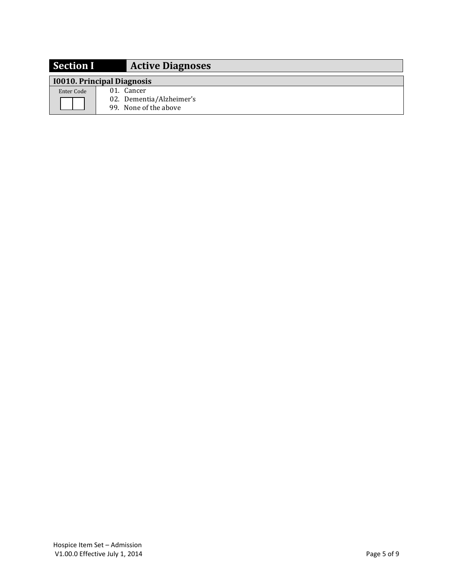| <b>Section I</b> | <b>Active Diagnoses</b>                                         |
|------------------|-----------------------------------------------------------------|
|                  | 10010. Principal Diagnosis                                      |
| Enter Code       | 01. Cancer<br>02. Dementia/Alzheimer's<br>99. None of the above |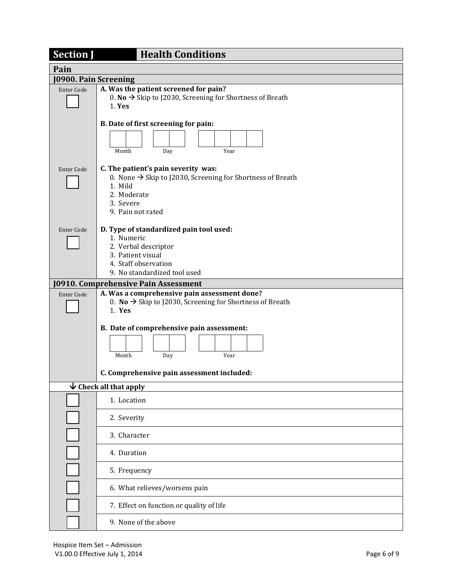| <b>Section J</b>      | <b>Health Conditions</b>                                                                                                                                                  |  |  |  |  |  |  |  |  |  |  |  |
|-----------------------|---------------------------------------------------------------------------------------------------------------------------------------------------------------------------|--|--|--|--|--|--|--|--|--|--|--|
| Pain                  |                                                                                                                                                                           |  |  |  |  |  |  |  |  |  |  |  |
| J0900. Pain Screening |                                                                                                                                                                           |  |  |  |  |  |  |  |  |  |  |  |
| <b>Enter Code</b>     | A. Was the patient screened for pain?<br>0. No $\rightarrow$ Skip to J2030, Screening for Shortness of Breath<br>1. Yes                                                   |  |  |  |  |  |  |  |  |  |  |  |
|                       | B. Date of first screening for pain:                                                                                                                                      |  |  |  |  |  |  |  |  |  |  |  |
|                       |                                                                                                                                                                           |  |  |  |  |  |  |  |  |  |  |  |
|                       | Year<br>Month<br>Day                                                                                                                                                      |  |  |  |  |  |  |  |  |  |  |  |
| <b>Enter Code</b>     | C. The patient's pain severity was:<br>0. None $\rightarrow$ Skip to J2030, Screening for Shortness of Breath<br>1. Mild<br>2. Moderate<br>3. Severe<br>9. Pain not rated |  |  |  |  |  |  |  |  |  |  |  |
| Enter Code            | D. Type of standardized pain tool used:                                                                                                                                   |  |  |  |  |  |  |  |  |  |  |  |
|                       | 1. Numeric<br>2. Verbal descriptor                                                                                                                                        |  |  |  |  |  |  |  |  |  |  |  |
|                       | 3. Patient visual                                                                                                                                                         |  |  |  |  |  |  |  |  |  |  |  |
|                       | 4. Staff observation<br>9. No standardized tool used                                                                                                                      |  |  |  |  |  |  |  |  |  |  |  |
|                       | <b>J0910. Comprehensive Pain Assessment</b>                                                                                                                               |  |  |  |  |  |  |  |  |  |  |  |
| <b>Enter Code</b>     | A. Was a comprehensive pain assessment done?<br>0. No $\rightarrow$ Skip to J2030, Screening for Shortness of Breath<br>$1.$ Yes                                          |  |  |  |  |  |  |  |  |  |  |  |
|                       | B. Date of comprehensive pain assessment:                                                                                                                                 |  |  |  |  |  |  |  |  |  |  |  |
|                       | Month<br>Year<br>Day                                                                                                                                                      |  |  |  |  |  |  |  |  |  |  |  |
|                       | C. Comprehensive pain assessment included:                                                                                                                                |  |  |  |  |  |  |  |  |  |  |  |
|                       | $\overline{\mathbf{\nabla}}$ Check all that apply                                                                                                                         |  |  |  |  |  |  |  |  |  |  |  |
|                       | 1. Location                                                                                                                                                               |  |  |  |  |  |  |  |  |  |  |  |
|                       | 2. Severity                                                                                                                                                               |  |  |  |  |  |  |  |  |  |  |  |
|                       | 3. Character                                                                                                                                                              |  |  |  |  |  |  |  |  |  |  |  |
|                       | 4. Duration                                                                                                                                                               |  |  |  |  |  |  |  |  |  |  |  |
|                       | 5. Frequency                                                                                                                                                              |  |  |  |  |  |  |  |  |  |  |  |
|                       | 6. What relieves/worsens pain                                                                                                                                             |  |  |  |  |  |  |  |  |  |  |  |
|                       | 7. Effect on function or quality of life                                                                                                                                  |  |  |  |  |  |  |  |  |  |  |  |
|                       | 9. None of the above                                                                                                                                                      |  |  |  |  |  |  |  |  |  |  |  |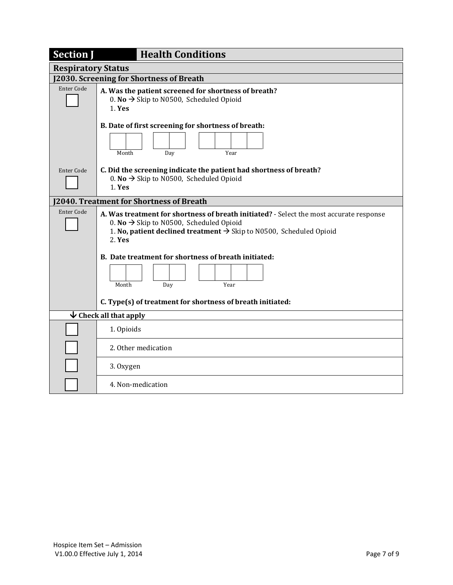| <b>Section J</b>          | <b>Health Conditions</b>                                                                                                                                                                                                                    |  |  |  |  |  |  |  |  |  |  |
|---------------------------|---------------------------------------------------------------------------------------------------------------------------------------------------------------------------------------------------------------------------------------------|--|--|--|--|--|--|--|--|--|--|
| <b>Respiratory Status</b> |                                                                                                                                                                                                                                             |  |  |  |  |  |  |  |  |  |  |
|                           | J2030. Screening for Shortness of Breath                                                                                                                                                                                                    |  |  |  |  |  |  |  |  |  |  |
| <b>Enter Code</b>         | A. Was the patient screened for shortness of breath?<br>0. No $\rightarrow$ Skip to N0500, Scheduled Opioid<br>1. Yes                                                                                                                       |  |  |  |  |  |  |  |  |  |  |
|                           | B. Date of first screening for shortness of breath:                                                                                                                                                                                         |  |  |  |  |  |  |  |  |  |  |
|                           | Month<br>Year<br>Day                                                                                                                                                                                                                        |  |  |  |  |  |  |  |  |  |  |
| Enter Code                | C. Did the screening indicate the patient had shortness of breath?<br>0. No $\rightarrow$ Skip to N0500, Scheduled Opioid<br>1. Yes                                                                                                         |  |  |  |  |  |  |  |  |  |  |
|                           | 2040. Treatment for Shortness of Breath                                                                                                                                                                                                     |  |  |  |  |  |  |  |  |  |  |
| <b>Enter Code</b>         | A. Was treatment for shortness of breath initiated? - Select the most accurate response<br>0. No $\rightarrow$ Skip to N0500, Scheduled Opioid<br>1. No, patient declined treatment $\rightarrow$ Skip to N0500, Scheduled Opioid<br>2. Yes |  |  |  |  |  |  |  |  |  |  |
|                           | B. Date treatment for shortness of breath initiated:                                                                                                                                                                                        |  |  |  |  |  |  |  |  |  |  |
|                           | Year<br>Month<br>Day                                                                                                                                                                                                                        |  |  |  |  |  |  |  |  |  |  |
|                           | C. Type(s) of treatment for shortness of breath initiated:                                                                                                                                                                                  |  |  |  |  |  |  |  |  |  |  |
|                           | $\overline{\mathbf{\nabla}}$ Check all that apply                                                                                                                                                                                           |  |  |  |  |  |  |  |  |  |  |
|                           | 1. Opioids                                                                                                                                                                                                                                  |  |  |  |  |  |  |  |  |  |  |
|                           | 2. Other medication                                                                                                                                                                                                                         |  |  |  |  |  |  |  |  |  |  |
|                           | 3. Oxygen                                                                                                                                                                                                                                   |  |  |  |  |  |  |  |  |  |  |
|                           | 4. Non-medication                                                                                                                                                                                                                           |  |  |  |  |  |  |  |  |  |  |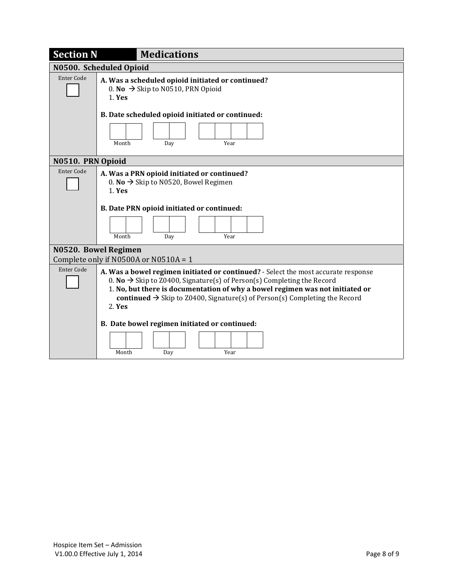| <b>Section N</b>        | <b>Medications</b>                                                                                                                                                                                                                                                                                                                                            |  |  |  |  |  |  |  |  |  |
|-------------------------|---------------------------------------------------------------------------------------------------------------------------------------------------------------------------------------------------------------------------------------------------------------------------------------------------------------------------------------------------------------|--|--|--|--|--|--|--|--|--|
| N0500. Scheduled Opioid |                                                                                                                                                                                                                                                                                                                                                               |  |  |  |  |  |  |  |  |  |
| <b>Enter Code</b>       | A. Was a scheduled opioid initiated or continued?<br>0. No $\rightarrow$ Skip to N0510, PRN Opioid<br>$1.$ Yes                                                                                                                                                                                                                                                |  |  |  |  |  |  |  |  |  |
|                         | B. Date scheduled opioid initiated or continued:                                                                                                                                                                                                                                                                                                              |  |  |  |  |  |  |  |  |  |
|                         | Year<br>Month<br>Day                                                                                                                                                                                                                                                                                                                                          |  |  |  |  |  |  |  |  |  |
| N0510. PRN Opioid       |                                                                                                                                                                                                                                                                                                                                                               |  |  |  |  |  |  |  |  |  |
| Enter Code              | A. Was a PRN opioid initiated or continued?<br>0. No $\rightarrow$ Skip to N0520, Bowel Regimen<br>$1.$ Yes                                                                                                                                                                                                                                                   |  |  |  |  |  |  |  |  |  |
|                         | B. Date PRN opioid initiated or continued:                                                                                                                                                                                                                                                                                                                    |  |  |  |  |  |  |  |  |  |
|                         | Year<br>Month<br>Day                                                                                                                                                                                                                                                                                                                                          |  |  |  |  |  |  |  |  |  |
|                         | N0520. Bowel Regimen                                                                                                                                                                                                                                                                                                                                          |  |  |  |  |  |  |  |  |  |
|                         | Complete only if N0500A or N0510A = 1                                                                                                                                                                                                                                                                                                                         |  |  |  |  |  |  |  |  |  |
| <b>Enter Code</b>       | A. Was a bowel regimen initiated or continued? - Select the most accurate response<br>0. No $\rightarrow$ Skip to Z0400, Signature(s) of Person(s) Completing the Record<br>1. No, but there is documentation of why a bowel regimen was not initiated or<br>continued $\rightarrow$ Skip to Z0400, Signature(s) of Person(s) Completing the Record<br>2. Yes |  |  |  |  |  |  |  |  |  |
|                         | B. Date bowel regimen initiated or continued:                                                                                                                                                                                                                                                                                                                 |  |  |  |  |  |  |  |  |  |
|                         | Year<br>Month<br>Day                                                                                                                                                                                                                                                                                                                                          |  |  |  |  |  |  |  |  |  |